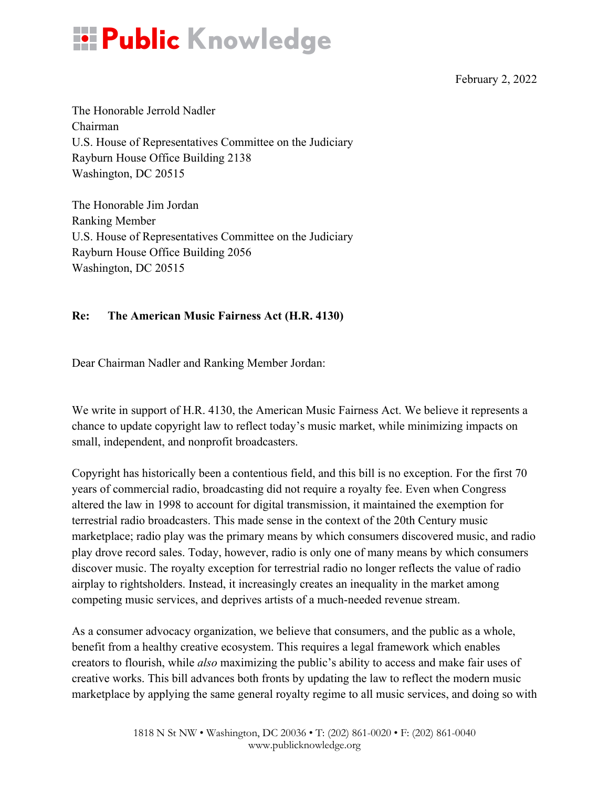

February 2, 2022

The Honorable Jerrold Nadler Chairman U.S. House of Representatives Committee on the Judiciary Rayburn House Office Building 2138 Washington, DC 20515

The Honorable Jim Jordan Ranking Member U.S. House of Representatives Committee on the Judiciary Rayburn House Office Building 2056 Washington, DC 20515

## **Re: The American Music Fairness Act (H.R. 4130)**

Dear Chairman Nadler and Ranking Member Jordan:

We write in support of H.R. 4130, the American Music Fairness Act. We believe it represents a chance to update copyright law to reflect today's music market, while minimizing impacts on small, independent, and nonprofit broadcasters.

Copyright has historically been a contentious field, and this bill is no exception. For the first 70 years of commercial radio, broadcasting did not require a royalty fee. Even when Congress altered the law in 1998 to account for digital transmission, it maintained the exemption for terrestrial radio broadcasters. This made sense in the context of the 20th Century music marketplace; radio play was the primary means by which consumers discovered music, and radio play drove record sales. Today, however, radio is only one of many means by which consumers discover music. The royalty exception for terrestrial radio no longer reflects the value of radio airplay to rightsholders. Instead, it increasingly creates an inequality in the market among competing music services, and deprives artists of a much-needed revenue stream.

As a consumer advocacy organization, we believe that consumers, and the public as a whole, benefit from a healthy creative ecosystem. This requires a legal framework which enables creators to flourish, while *also* maximizing the public's ability to access and make fair uses of creative works. This bill advances both fronts by updating the law to reflect the modern music marketplace by applying the same general royalty regime to all music services, and doing so with